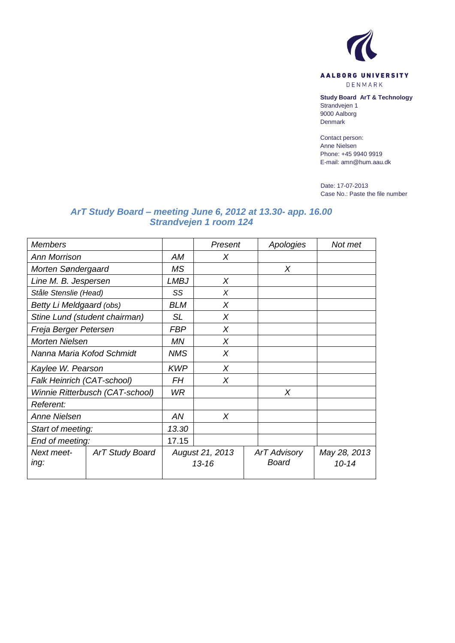

AALBORG UNIVERSITY

DENMARK

**Study Board ArT & Technology** Strandvejen 1

9000 Aalborg Denmark

Contact person: Anne Nielsen Phone: +45 9940 9919 E-mail: amn@hum.aau.dk

Date: 17-07-2013 Case No.: Paste the file number

## *ArT Study Board – meeting June 6, 2012 at 13.30- app. 16.00 Strandvejen 1 room 124*

| <b>Members</b>                  |                        |             | Present                      | Apologies                    | Not met                   |
|---------------------------------|------------------------|-------------|------------------------------|------------------------------|---------------------------|
| <b>Ann Morrison</b>             |                        | АM          | Χ                            |                              |                           |
| Morten Søndergaard              |                        | ΜS          |                              | X                            |                           |
| Line M. B. Jespersen            |                        | <b>LMBJ</b> | X                            |                              |                           |
| Ståle Stenslie (Head)           |                        | SS          | X                            |                              |                           |
| Betty Li Meldgaard (obs)        |                        | <b>BLM</b>  | X                            |                              |                           |
| Stine Lund (student chairman)   |                        | SL          | X                            |                              |                           |
| Freja Berger Petersen           |                        | <b>FBP</b>  | X                            |                              |                           |
| <b>Morten Nielsen</b>           |                        | <b>MN</b>   | X                            |                              |                           |
| Nanna Maria Kofod Schmidt       |                        | <b>NMS</b>  | X                            |                              |                           |
| Kaylee W. Pearson               |                        | <b>KWP</b>  | X                            |                              |                           |
| Falk Heinrich (CAT-school)      |                        | FΗ          | X                            |                              |                           |
| Winnie Ritterbusch (CAT-school) |                        | <b>WR</b>   |                              | $\chi$                       |                           |
| Referent:                       |                        |             |                              |                              |                           |
| <b>Anne Nielsen</b>             |                        | ΑN          | X                            |                              |                           |
| Start of meeting:               |                        | 13.30       |                              |                              |                           |
| End of meeting:                 |                        | 17.15       |                              |                              |                           |
| Next meet-<br>ing:              | <b>ArT Study Board</b> |             | August 21, 2013<br>$13 - 16$ | <b>ArT Advisory</b><br>Board | May 28, 2013<br>$10 - 14$ |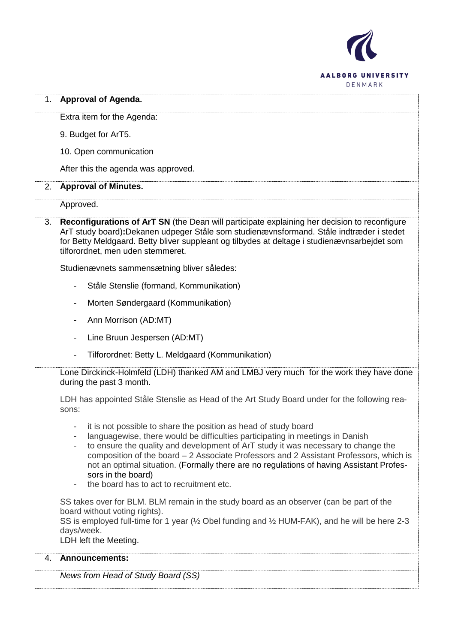

| 1. | Approval of Agenda.                                                                                                                                                                                                                                                                                                                                                                                                                                                                           |
|----|-----------------------------------------------------------------------------------------------------------------------------------------------------------------------------------------------------------------------------------------------------------------------------------------------------------------------------------------------------------------------------------------------------------------------------------------------------------------------------------------------|
|    | Extra item for the Agenda:                                                                                                                                                                                                                                                                                                                                                                                                                                                                    |
|    | 9. Budget for ArT5.                                                                                                                                                                                                                                                                                                                                                                                                                                                                           |
|    | 10. Open communication                                                                                                                                                                                                                                                                                                                                                                                                                                                                        |
|    | After this the agenda was approved.                                                                                                                                                                                                                                                                                                                                                                                                                                                           |
| 2. | <b>Approval of Minutes.</b>                                                                                                                                                                                                                                                                                                                                                                                                                                                                   |
|    | Approved.                                                                                                                                                                                                                                                                                                                                                                                                                                                                                     |
| 3. | Reconfigurations of ArT SN (the Dean will participate explaining her decision to reconfigure<br>ArT study board): Dekanen udpeger Ståle som studienævnsformand. Ståle indtræder i stedet<br>for Betty Meldgaard. Betty bliver suppleant og tilbydes at deltage i studienævnsarbejdet som<br>tilforordnet, men uden stemmeret.                                                                                                                                                                 |
|    | Studienævnets sammensætning bliver således:                                                                                                                                                                                                                                                                                                                                                                                                                                                   |
|    | Ståle Stenslie (formand, Kommunikation)                                                                                                                                                                                                                                                                                                                                                                                                                                                       |
|    | Morten Søndergaard (Kommunikation)                                                                                                                                                                                                                                                                                                                                                                                                                                                            |
|    | Ann Morrison (AD:MT)                                                                                                                                                                                                                                                                                                                                                                                                                                                                          |
|    | Line Bruun Jespersen (AD:MT)                                                                                                                                                                                                                                                                                                                                                                                                                                                                  |
|    | Tilforordnet: Betty L. Meldgaard (Kommunikation)                                                                                                                                                                                                                                                                                                                                                                                                                                              |
|    | Lone Dirckinck-Holmfeld (LDH) thanked AM and LMBJ very much for the work they have done<br>during the past 3 month.                                                                                                                                                                                                                                                                                                                                                                           |
|    | LDH has appointed Ståle Stenslie as Head of the Art Study Board under for the following rea-<br>sons:                                                                                                                                                                                                                                                                                                                                                                                         |
|    | it is not possible to share the position as head of study board<br>languagewise, there would be difficulties participating in meetings in Danish<br>to ensure the quality and development of ArT study it was necessary to change the<br>composition of the board - 2 Associate Professors and 2 Assistant Professors, which is<br>not an optimal situation. (Formally there are no regulations of having Assistant Profes-<br>sors in the board)<br>the board has to act to recruitment etc. |
|    | SS takes over for BLM. BLM remain in the study board as an observer (can be part of the<br>board without voting rights).<br>SS is employed full-time for 1 year (1/2 Obel funding and 1/2 HUM-FAK), and he will be here 2-3<br>days/week.<br>LDH left the Meeting.                                                                                                                                                                                                                            |
| 4. | <b>Announcements:</b>                                                                                                                                                                                                                                                                                                                                                                                                                                                                         |
|    | News from Head of Study Board (SS)                                                                                                                                                                                                                                                                                                                                                                                                                                                            |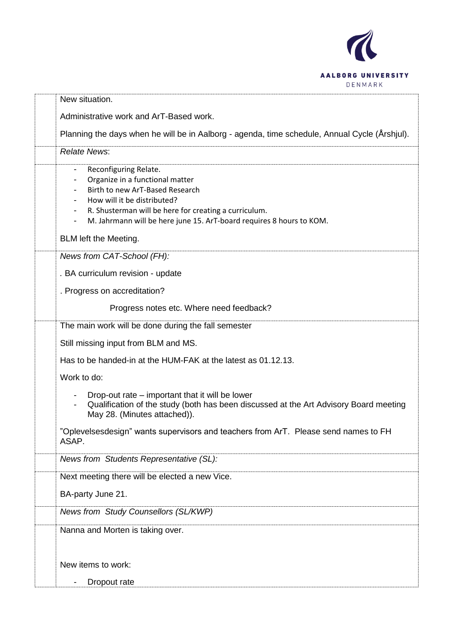

| New situation.                                                                                                                                                                                                                                                                       |
|--------------------------------------------------------------------------------------------------------------------------------------------------------------------------------------------------------------------------------------------------------------------------------------|
| Administrative work and ArT-Based work.                                                                                                                                                                                                                                              |
| Planning the days when he will be in Aalborg - agenda, time schedule, Annual Cycle (Arshjul).                                                                                                                                                                                        |
| <b>Relate News:</b>                                                                                                                                                                                                                                                                  |
| Reconfiguring Relate.<br>Organize in a functional matter<br>Birth to new ArT-Based Research<br>How will it be distributed?<br>R. Shusterman will be here for creating a curriculum.<br>M. Jahrmann will be here june 15. ArT-board requires 8 hours to KOM.<br>BLM left the Meeting. |
| News from CAT-School (FH):                                                                                                                                                                                                                                                           |
| . BA curriculum revision - update                                                                                                                                                                                                                                                    |
| . Progress on accreditation?                                                                                                                                                                                                                                                         |
| Progress notes etc. Where need feedback?                                                                                                                                                                                                                                             |
| The main work will be done during the fall semester                                                                                                                                                                                                                                  |
| Still missing input from BLM and MS.                                                                                                                                                                                                                                                 |
| Has to be handed-in at the HUM-FAK at the latest as 01.12.13.                                                                                                                                                                                                                        |
| Work to do:                                                                                                                                                                                                                                                                          |
| Drop-out rate – important that it will be lower<br>Qualification of the study (both has been discussed at the Art Advisory Board meeting<br>May 28. (Minutes attached)).                                                                                                             |
| "Oplevelsesdesign" wants supervisors and teachers from ArT. Please send names to FH<br>ASAP.                                                                                                                                                                                         |
| News from Students Representative (SL):                                                                                                                                                                                                                                              |
| Next meeting there will be elected a new Vice.                                                                                                                                                                                                                                       |
| BA-party June 21.                                                                                                                                                                                                                                                                    |
| News from Study Counsellors (SL/KWP)                                                                                                                                                                                                                                                 |
| Nanna and Morten is taking over.                                                                                                                                                                                                                                                     |
| New items to work:<br>Dropout rate                                                                                                                                                                                                                                                   |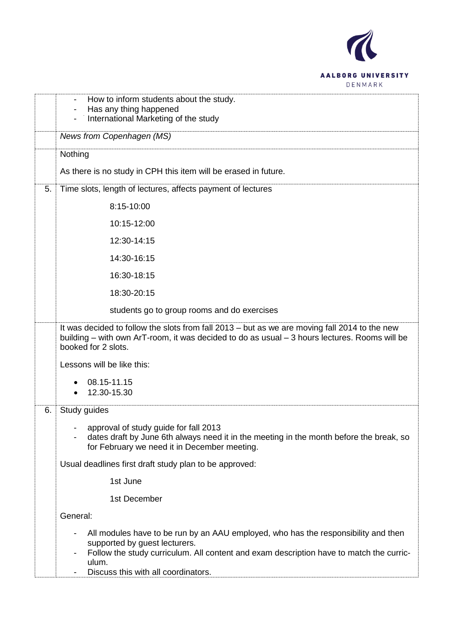

|    | How to inform students about the study.                                                                                                                                                                                                                        |  |
|----|----------------------------------------------------------------------------------------------------------------------------------------------------------------------------------------------------------------------------------------------------------------|--|
|    | Has any thing happened<br>$\overline{\phantom{a}}$<br>International Marketing of the study<br>$\blacksquare$                                                                                                                                                   |  |
|    | News from Copenhagen (MS)                                                                                                                                                                                                                                      |  |
|    | Nothing                                                                                                                                                                                                                                                        |  |
|    |                                                                                                                                                                                                                                                                |  |
|    | As there is no study in CPH this item will be erased in future.                                                                                                                                                                                                |  |
| 5. | Time slots, length of lectures, affects payment of lectures                                                                                                                                                                                                    |  |
|    | 8:15-10:00                                                                                                                                                                                                                                                     |  |
|    | 10:15-12:00                                                                                                                                                                                                                                                    |  |
|    | 12:30-14:15                                                                                                                                                                                                                                                    |  |
|    | 14:30-16:15                                                                                                                                                                                                                                                    |  |
|    | 16:30-18:15                                                                                                                                                                                                                                                    |  |
|    | 18:30-20:15                                                                                                                                                                                                                                                    |  |
|    | students go to group rooms and do exercises                                                                                                                                                                                                                    |  |
|    | It was decided to follow the slots from fall 2013 – but as we are moving fall 2014 to the new<br>building – with own ArT-room, it was decided to do as usual – 3 hours lectures. Rooms will be<br>booked for 2 slots.                                          |  |
|    | Lessons will be like this:                                                                                                                                                                                                                                     |  |
|    | 08.15-11.15<br>12.30-15.30                                                                                                                                                                                                                                     |  |
| 6. | Study guides                                                                                                                                                                                                                                                   |  |
|    | approval of study guide for fall 2013<br>dates draft by June 6th always need it in the meeting in the month before the break, so<br>for February we need it in December meeting.                                                                               |  |
|    | Usual deadlines first draft study plan to be approved:                                                                                                                                                                                                         |  |
|    | 1st June                                                                                                                                                                                                                                                       |  |
|    | 1st December                                                                                                                                                                                                                                                   |  |
|    | General:                                                                                                                                                                                                                                                       |  |
|    | All modules have to be run by an AAU employed, who has the responsibility and then<br>supported by guest lecturers.<br>Follow the study curriculum. All content and exam description have to match the curric-<br>ulum.<br>Discuss this with all coordinators. |  |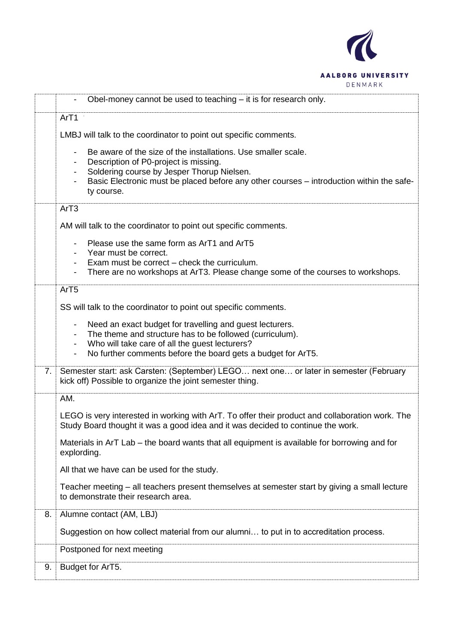

|    | Obel-money cannot be used to teaching – it is for research only.                                                                                                                   |
|----|------------------------------------------------------------------------------------------------------------------------------------------------------------------------------------|
|    | ArT1                                                                                                                                                                               |
|    | LMBJ will talk to the coordinator to point out specific comments.                                                                                                                  |
|    | Be aware of the size of the installations. Use smaller scale.<br>Description of P0-project is missing.                                                                             |
|    | Soldering course by Jesper Thorup Nielsen.<br>$\overline{\phantom{0}}$                                                                                                             |
|    | Basic Electronic must be placed before any other courses - introduction within the safe-<br>ty course.                                                                             |
|    | ArT3                                                                                                                                                                               |
|    | AM will talk to the coordinator to point out specific comments.                                                                                                                    |
|    | Please use the same form as ArT1 and ArT5<br>Year must be correct.                                                                                                                 |
|    | Exam must be correct – check the curriculum.<br>$\overline{\phantom{a}}$                                                                                                           |
|    | There are no workshops at ArT3. Please change some of the courses to workshops.                                                                                                    |
|    | ArT <sub>5</sub>                                                                                                                                                                   |
|    | SS will talk to the coordinator to point out specific comments.                                                                                                                    |
|    | Need an exact budget for travelling and guest lecturers.<br>$\overline{\phantom{a}}$<br>The theme and structure has to be followed (curriculum).                                   |
|    | Who will take care of all the guest lecturers?<br>$\blacksquare$<br>No further comments before the board gets a budget for ArT5.<br>$\overline{\phantom{a}}$                       |
| 7. | Semester start: ask Carsten: (September) LEGO next one or later in semester (February                                                                                              |
|    | kick off) Possible to organize the joint semester thing.                                                                                                                           |
|    | AM.                                                                                                                                                                                |
|    | LEGO is very interested in working with ArT. To offer their product and collaboration work. The<br>Study Board thought it was a good idea and it was decided to continue the work. |
|    | Materials in ArT Lab – the board wants that all equipment is available for borrowing and for<br>explording.                                                                        |
|    | All that we have can be used for the study.                                                                                                                                        |
|    | Teacher meeting - all teachers present themselves at semester start by giving a small lecture<br>to demonstrate their research area.                                               |
| 8. | Alumne contact (AM, LBJ)                                                                                                                                                           |
|    | Suggestion on how collect material from our alumni to put in to accreditation process.                                                                                             |
|    | Postponed for next meeting                                                                                                                                                         |
| 9. | Budget for ArT5.                                                                                                                                                                   |